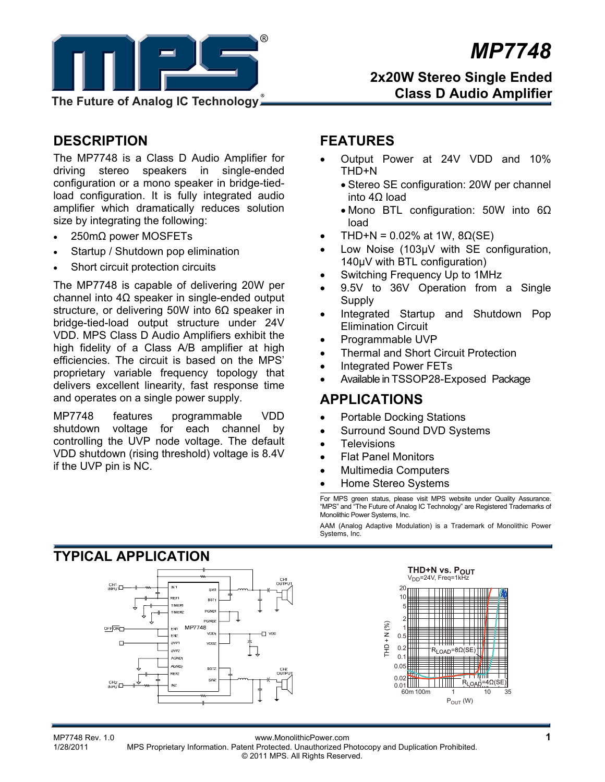

# *MP7748*

### **2x20W Stereo Single Ended Class D Audio Amplifier**

# **DESCRIPTION**

The MP7748 is a Class D Audio Amplifier for driving stereo speakers in single-ended configuration or a mono speaker in bridge-tiedload configuration. It is fully integrated audio amplifier which dramatically reduces solution size by integrating the following:

- 250mΩ power MOSFETs
- Startup / Shutdown pop elimination
- Short circuit protection circuits

The MP7748 is capable of delivering 20W per channel into 4Ω speaker in single-ended output structure, or delivering 50W into  $6\Omega$  speaker in bridge-tied-load output structure under 24V VDD. MPS Class D Audio Amplifiers exhibit the high fidelity of a Class A/B amplifier at high efficiencies. The circuit is based on the MPS' proprietary variable frequency topology that delivers excellent linearity, fast response time and operates on a single power supply.

MP7748 features programmable VDD shutdown voltage for each channel by controlling the UVP node voltage. The default VDD shutdown (rising threshold) voltage is 8.4V if the UVP pin is NC.

### **FEATURES**

- Output Power at 24V VDD and 10% THD+N
	- Stereo SE configuration: 20W per channel into 4Ω load
	- Mono BTL configuration: 50W into 6Ω load
- THD+N = 0.02% at 1W,  $8Ω(SE)$
- Low Noise (103µV with SE configuration, 140µV with BTL configuration)
- Switching Frequency Up to 1MHz
- 9.5V to 36V Operation from a Single **Supply**
- Integrated Startup and Shutdown Pop Elimination Circuit
- Programmable UVP
- Thermal and Short Circuit Protection
- Integrated Power FETs
- Available in TSSOP28-Exposed Package

### **APPLICATIONS**

- Portable Docking Stations
- Surround Sound DVD Systems
- **Televisions**
- Flat Panel Monitors
- Multimedia Computers
- Home Stereo Systems

For MPS green status, please visit MPS website under Quality Assurance. "MPS" and "The Future of Analog IC Technology" are Registered Trademarks of Monolithic Power Systems, Inc.

AAM (Analog Adaptive Modulation) is a Trademark of Monolithic Power Systems, Inc.



MP7748 Rev. 1.0<br>1/28/2011 MPS Proprietary Information Patent Protected Unauthorized Photocopy and Duplication Prohibited MPS Proprietary Information. Patent Protected. Unauthorized Photocopy and Duplication Prohibited. © 2011 MPS. All Rights Reserved.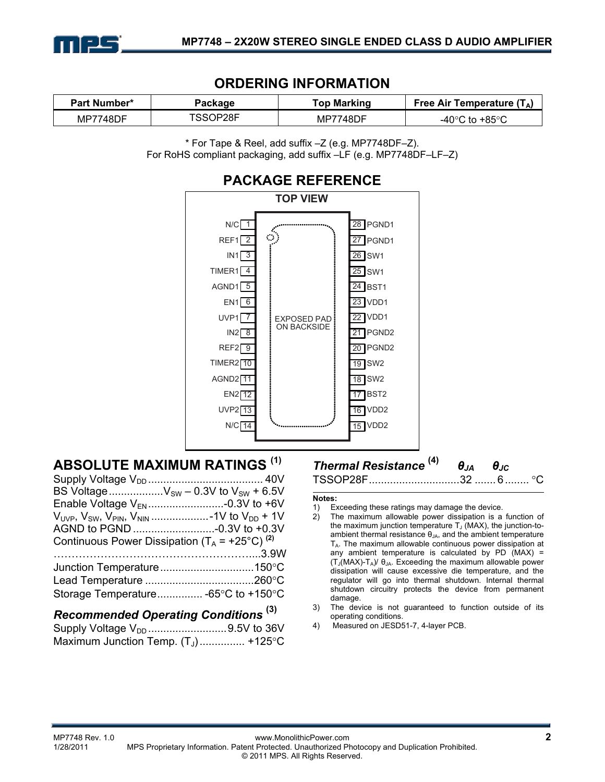

### **ORDERING INFORMATION**

| <b>Part Number*</b> | Package | Top Marking     | Free Air Temperature $(T_A)$ |  |
|---------------------|---------|-----------------|------------------------------|--|
| <b>MP7748DF</b>     | SSOP28F | <b>MP7748DF</b> | -40°C to +85°C               |  |

\* For Tape & Reel, add suffix –Z (e.g. MP7748DF–Z). For RoHS compliant packaging, add suffix –LF (e.g. MP7748DF–LF–Z)



# **ABSOLUTE MAXIMUM RATINGS (1)**

| BS Voltage $V_{SW}$ – 0.3V to $V_{SW}$ + 6.5V             |                      |
|-----------------------------------------------------------|----------------------|
|                                                           |                      |
|                                                           |                      |
|                                                           |                      |
| Continuous Power Dissipation $(T_A = +25^{\circ}C)^{(2)}$ |                      |
|                                                           |                      |
|                                                           |                      |
|                                                           |                      |
| Storage Temperature -65°C to +150°C                       |                      |
|                                                           | $\sim$ $\sim$ $\sim$ |

### *Recommended Operating Conditions* **(3)**

| Supply Voltage V <sub>DD</sub> 9.5V to 36V |  |
|--------------------------------------------|--|
| Maximum Junction Temp. $(T_J)$ +125°C      |  |

### *Thermal Resistance* **(4)** *θJA θJC*

TSSOP28F .............................. 32 ....... 6 ........ °C

#### **Notes:**

- 1) Exceeding these ratings may damage the device.<br>2) The maximum allowable power dissipation is a
- The maximum allowable power dissipation is a function of the maximum junction temperature  $T_J$  (MAX), the junction-toambient thermal resistance  $\theta_{JA}$ , and the ambient temperature  $T_A$ . The maximum allowable continuous power dissipation at any ambient temperature is calculated by PD  $(MAX)$  =  $(T_J(MAX)-T_A)/\theta_{JA}$ . Exceeding the maximum allowable power dissipation will cause excessive die temperature, and the regulator will go into thermal shutdown. Internal thermal shutdown circuitry protects the device from permanent damage.
- 3) The device is not guaranteed to function outside of its operating conditions.
- 4) Measured on JESD51-7, 4-layer PCB.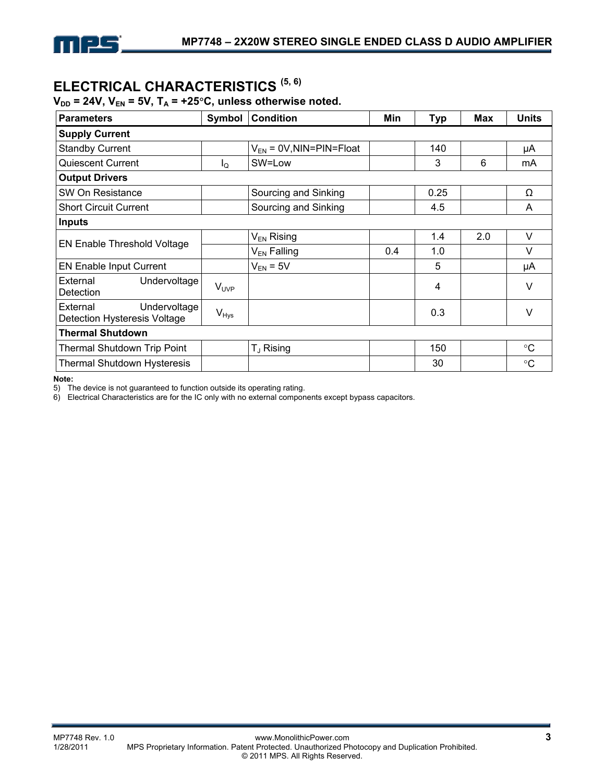# **ELECTRICAL CHARACTERISTICS (5, 6)**

### $V_{DD}$  = 24V,  $V_{EN}$  = 5V,  $T_A$  = +25°C, unless otherwise noted.

| <b>Parameters</b>                                        | Symbol           | <b>Condition</b>             | Min | <b>Typ</b> | <b>Max</b> | <b>Units</b>    |
|----------------------------------------------------------|------------------|------------------------------|-----|------------|------------|-----------------|
| <b>Supply Current</b>                                    |                  |                              |     |            |            |                 |
| <b>Standby Current</b>                                   |                  | $V_{EN}$ = 0V, NIN=PIN=Float |     | 140        |            | μA              |
| <b>Quiescent Current</b>                                 | Ιo               | SW=Low                       |     | 3          | 6          | mA              |
| <b>Output Drivers</b>                                    |                  |                              |     |            |            |                 |
| SW On Resistance                                         |                  | Sourcing and Sinking         |     | 0.25       |            | Ω               |
| <b>Short Circuit Current</b>                             |                  | Sourcing and Sinking         |     | 4.5        |            | A               |
| <b>Inputs</b>                                            |                  |                              |     |            |            |                 |
| EN Enable Threshold Voltage                              |                  | $V_{EN}$ Rising              |     | 1.4        | 2.0        | V               |
|                                                          |                  | V <sub>EN</sub> Falling      | 0.4 | 1.0        |            | V               |
| <b>EN Enable Input Current</b>                           |                  | $V_{EN}$ = 5V                |     | 5          |            | μA              |
| External<br>Undervoltage<br>Detection                    | $V_{\text{UVP}}$ |                              |     | 4          |            | $\vee$          |
| External<br>Undervoltage<br>Detection Hysteresis Voltage | $V_{Hys}$        |                              |     | 0.3        |            | V               |
| <b>Thermal Shutdown</b>                                  |                  |                              |     |            |            |                 |
| <b>Thermal Shutdown Trip Point</b>                       |                  | T <sub>J</sub> Rising        |     | 150        |            | $\rm ^{\circ}C$ |
| <b>Thermal Shutdown Hysteresis</b>                       |                  |                              |     | 30         |            | $^{\circ}C$     |

**Note:** 

5) The device is not guaranteed to function outside its operating rating.

6) Electrical Characteristics are for the IC only with no external components except bypass capacitors.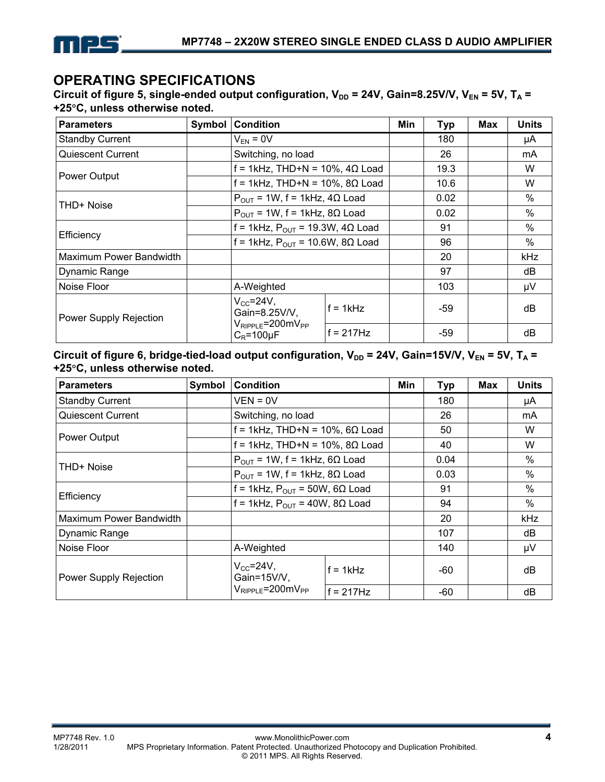

## **OPERATING SPECIFICATIONS**

Circuit of figure 5, single-ended output configuration,  $V_{DD} = 24V$ , Gain=8.25V/V,  $V_{EN} = 5V$ , T<sub>A</sub> = **+25**°**C, unless otherwise noted.** 

| <b>Parameters</b>       | Symbol | <b>Condition</b>                                                     |             | Min  | <b>Typ</b> | <b>Max</b>    | Units      |
|-------------------------|--------|----------------------------------------------------------------------|-------------|------|------------|---------------|------------|
| <b>Standby Current</b>  |        | $V_{FN} = 0V$                                                        |             |      | 180        |               | μA         |
| Quiescent Current       |        | Switching, no load                                                   |             |      | 26         |               | mA         |
|                         |        | $f = 1$ kHz, THD+N = 10%, 4 $\Omega$ Load                            |             |      | 19.3       |               | W          |
| Power Output            |        | $f = 1$ kHz, THD+N = 10%, 8 $\Omega$ Load                            |             | 10.6 |            | W             |            |
| THD+ Noise              |        | $P_{OUT}$ = 1W, f = 1kHz, 4 $\Omega$ Load                            |             |      | 0.02       |               | $\%$       |
|                         |        | $P_{OUT}$ = 1W, f = 1kHz, 8 $\Omega$ Load                            |             | 0.02 |            | $\frac{0}{0}$ |            |
|                         |        | f = 1kHz, $P_{OUT}$ = 19.3W, 4 $\Omega$ Load                         |             | 91   |            | $\%$          |            |
| Efficiency              |        | f = 1kHz, $P_{OUT}$ = 10.6W, 8 $\Omega$ Load                         |             | 96   |            | %             |            |
| Maximum Power Bandwidth |        |                                                                      |             |      | 20         |               | <b>kHz</b> |
| Dynamic Range           |        |                                                                      |             |      | 97         |               | dB         |
| Noise Floor             |        | A-Weighted                                                           |             |      | 103        |               | μV         |
| Power Supply Rejection  |        | $V_{CC}$ =24 $V$ ,<br>Gain=8.25V/V,<br>$V_{RIPPLE} = 200$ m $V_{PP}$ | $f = 1kHz$  |      | $-59$      |               | dB         |
|                         |        | $C_R = 100 \mu F$                                                    | $f = 217Hz$ |      | -59        |               | dB         |

Circuit of figure 6, bridge-tied-load output configuration,  $V_{DD} = 24V$ , Gain=15V/V,  $V_{EN} = 5V$ , T<sub>A</sub> = **+25**°**C, unless otherwise noted.** 

| <b>Parameters</b>       | Symbol | <b>Condition</b>                                                 |              | Min  | <b>Typ</b> | Max           | <b>Units</b> |
|-------------------------|--------|------------------------------------------------------------------|--------------|------|------------|---------------|--------------|
| <b>Standby Current</b>  |        | VEN = 0V                                                         |              |      | 180        |               | μA           |
| Quiescent Current       |        | Switching, no load                                               |              |      | 26         |               | mA.          |
|                         |        | $f = 1$ kHz, THD+N = 10%, 6 $\Omega$ Load                        |              |      | 50         |               | W            |
| Power Output            |        | $f = 1$ kHz, THD+N = 10%, 8 $\Omega$ Load                        |              |      | 40         |               | W            |
|                         |        | $P_{OUT}$ = 1W, f = 1kHz, 6 $\Omega$ Load                        |              |      | 0.04       |               | $\%$         |
| THD+ Noise              |        | $P_{\text{OUT}}$ = 1W, f = 1kHz, 8 $\Omega$ Load                 |              | 0.03 |            | $\%$          |              |
|                         |        | f = 1kHz, $P_{OUT}$ = 50W, 6 $\Omega$ Load                       |              | 91   |            | $\frac{0}{0}$ |              |
| Efficiency              |        | f = 1kHz, $P_{OUT}$ = 40W, 8 $\Omega$ Load                       |              | 94   |            | $\%$          |              |
| Maximum Power Bandwidth |        |                                                                  |              |      | 20         |               | kHz          |
| Dynamic Range           |        |                                                                  |              |      | 107        |               | dB           |
| Noise Floor             |        | A-Weighted                                                       |              |      | 140        |               | μV           |
| Power Supply Rejection  |        | $V_{CC} = 24V$ ,<br>Gain=15V/V,<br>$V_{RIPPIF} = 200$ m $V_{PP}$ | $f = 1kHz$   |      | -60        |               | dB           |
|                         |        |                                                                  | $f = 217$ Hz |      | -60        |               | dB           |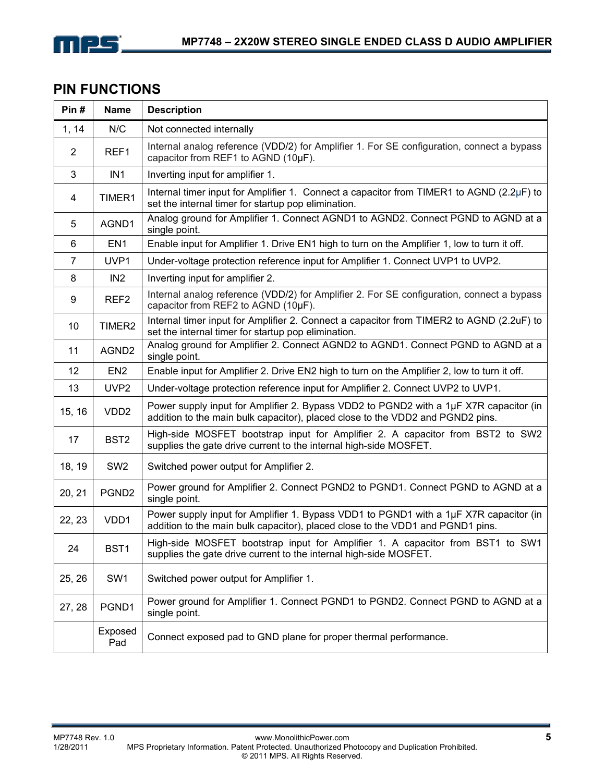

# **PIN FUNCTIONS**

| Pin#           | <b>Name</b>       | <b>Description</b>                                                                                                                                                      |
|----------------|-------------------|-------------------------------------------------------------------------------------------------------------------------------------------------------------------------|
| 1, 14          | N/C               | Not connected internally                                                                                                                                                |
| $\overline{2}$ | REF1              | Internal analog reference (VDD/2) for Amplifier 1. For SE configuration, connect a bypass<br>capacitor from REF1 to AGND (10µF).                                        |
| 3              | IN <sub>1</sub>   | Inverting input for amplifier 1.                                                                                                                                        |
| 4              | TIMER1            | Internal timer input for Amplifier 1. Connect a capacitor from TIMER1 to AGND (2.2 $\mu$ F) to<br>set the internal timer for startup pop elimination.                   |
| 5              | AGND1             | Analog ground for Amplifier 1. Connect AGND1 to AGND2. Connect PGND to AGND at a<br>single point.                                                                       |
| 6              | EN <sub>1</sub>   | Enable input for Amplifier 1. Drive EN1 high to turn on the Amplifier 1, low to turn it off.                                                                            |
| $\overline{7}$ | UVP1              | Under-voltage protection reference input for Amplifier 1. Connect UVP1 to UVP2.                                                                                         |
| 8              | IN <sub>2</sub>   | Inverting input for amplifier 2.                                                                                                                                        |
| 9              | REF <sub>2</sub>  | Internal analog reference (VDD/2) for Amplifier 2. For SE configuration, connect a bypass<br>capacitor from REF2 to AGND (10µF).                                        |
| 10             | TIMER2            | Internal timer input for Amplifier 2. Connect a capacitor from TIMER2 to AGND (2.2uF) to<br>set the internal timer for startup pop elimination.                         |
| 11             | AGND <sub>2</sub> | Analog ground for Amplifier 2. Connect AGND2 to AGND1. Connect PGND to AGND at a<br>single point.                                                                       |
| 12             | EN <sub>2</sub>   | Enable input for Amplifier 2. Drive EN2 high to turn on the Amplifier 2, low to turn it off.                                                                            |
| 13             | UVP <sub>2</sub>  | Under-voltage protection reference input for Amplifier 2. Connect UVP2 to UVP1.                                                                                         |
| 15, 16         | VDD <sub>2</sub>  | Power supply input for Amplifier 2. Bypass VDD2 to PGND2 with a 1µF X7R capacitor (in<br>addition to the main bulk capacitor), placed close to the VDD2 and PGND2 pins. |
| 17             | BST <sub>2</sub>  | High-side MOSFET bootstrap input for Amplifier 2. A capacitor from BST2 to SW2<br>supplies the gate drive current to the internal high-side MOSFET.                     |
| 18, 19         | SW <sub>2</sub>   | Switched power output for Amplifier 2.                                                                                                                                  |
| 20, 21         | PGND <sub>2</sub> | Power ground for Amplifier 2. Connect PGND2 to PGND1. Connect PGND to AGND at a<br>single point.                                                                        |
| 22, 23         | VDD1              | Power supply input for Amplifier 1. Bypass VDD1 to PGND1 with a 1µF X7R capacitor (in<br>addition to the main bulk capacitor), placed close to the VDD1 and PGND1 pins. |
| 24             | BST1              | High-side MOSFET bootstrap input for Amplifier 1. A capacitor from BST1 to SW1<br>supplies the gate drive current to the internal high-side MOSFET.                     |
| 25, 26         | SW1               | Switched power output for Amplifier 1.                                                                                                                                  |
| 27, 28         | PGND1             | Power ground for Amplifier 1. Connect PGND1 to PGND2. Connect PGND to AGND at a<br>single point.                                                                        |
|                | Exposed<br>Pad    | Connect exposed pad to GND plane for proper thermal performance.                                                                                                        |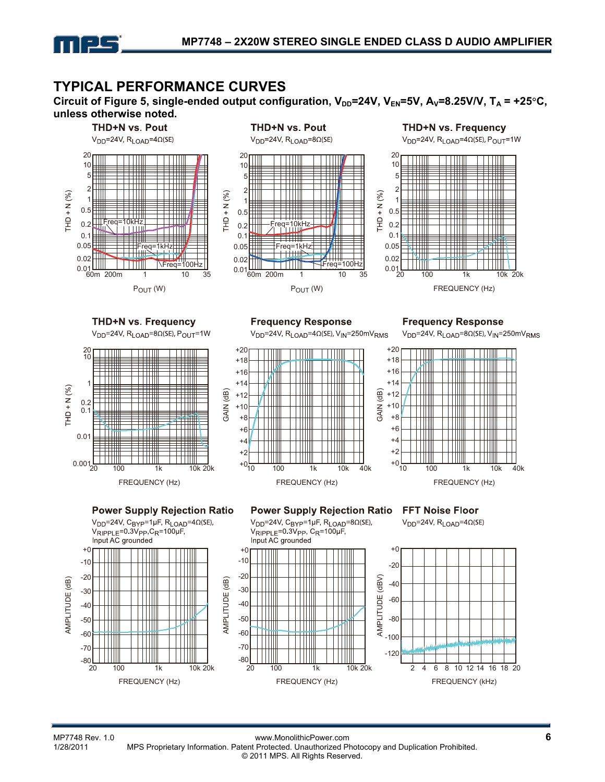

### **TYPICAL PERFORMANCE CURVES**

Circuit of Figure 5, single-ended output configuration,  $V_{DD}$ =24V,  $V_{EN}$ =5V,  $A_V$ =8.25V/V,  $T_A$  = +25°C, **unless otherwise noted.** 

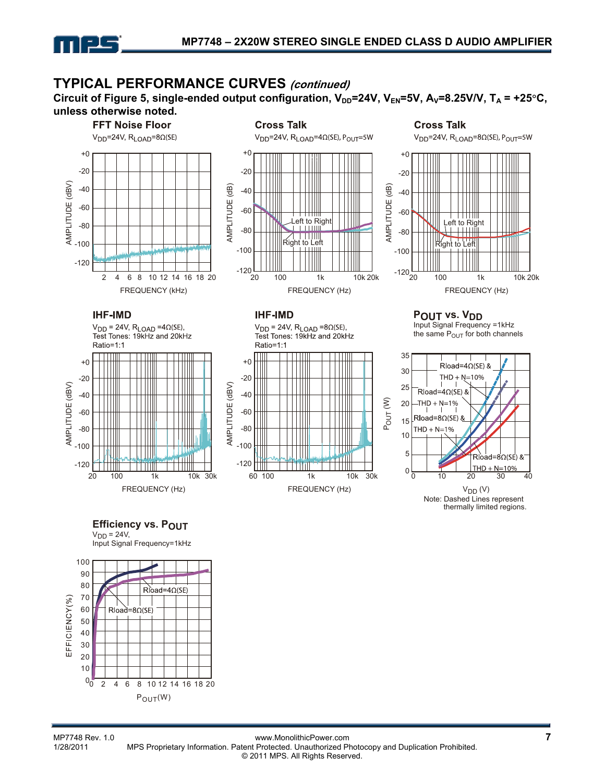

### **TYPICAL PERFORMANCE CURVES (continued)**

Circuit of Figure 5, single-ended output configuration,  $V_{DD}=24V$ ,  $V_{EN}=5V$ ,  $A_V=8.25V/V$ ,  $T_A = +25°C$ , **unless otherwise noted.** 



 $V<sub>DD</sub> = 24V,$ Input Signal Frequency=1kHz

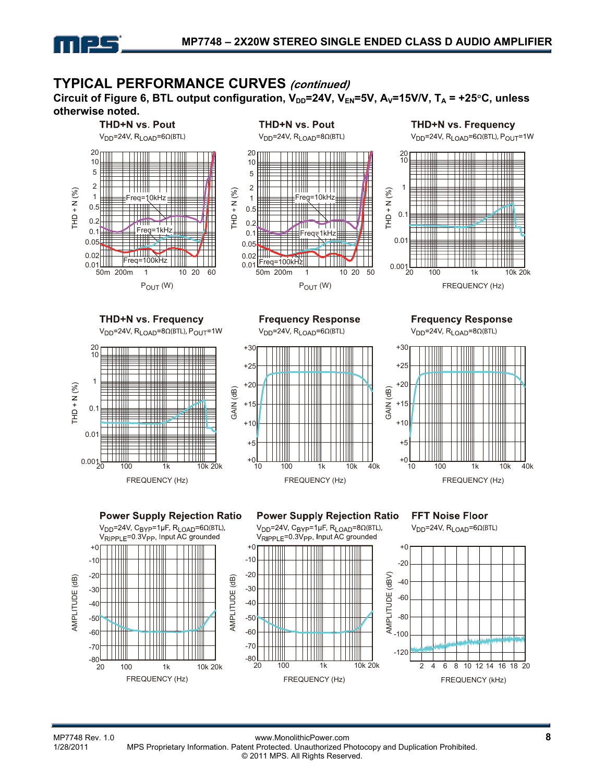

### **TYPICAL PERFORMANCE CURVES (continued)**

Circuit of Figure 6, BTL output configuration,  $V_{DD}=24V$ ,  $V_{EN}=5V$ ,  $A_V=15V/V$ ,  $T_A = +25°C$ , unless **otherwise noted.** 

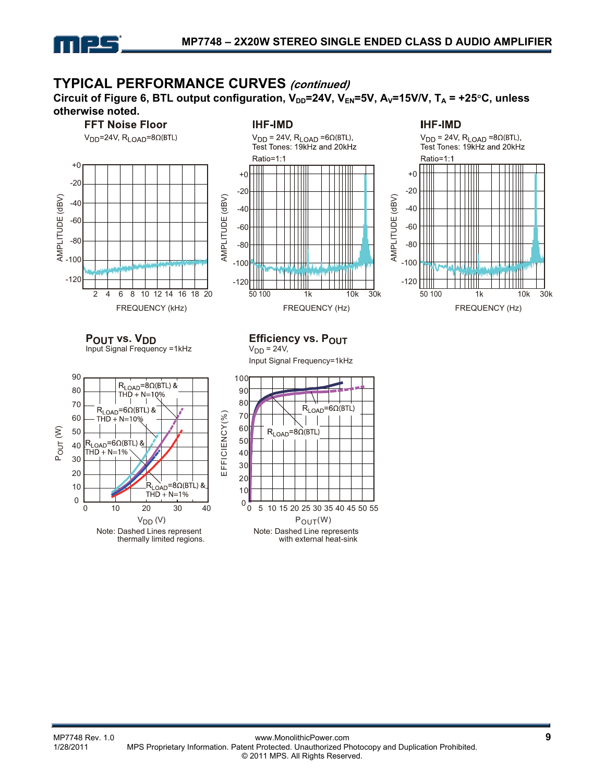

### **TYPICAL PERFORMANCE CURVES (continued)**

Circuit of Figure 6, BTL output configuration,  $V_{DD}$ =24V,  $V_{EN}$ =5V,  $A_V$ =15V/V,  $T_A$  = +25°C, unless **otherwise noted.** 

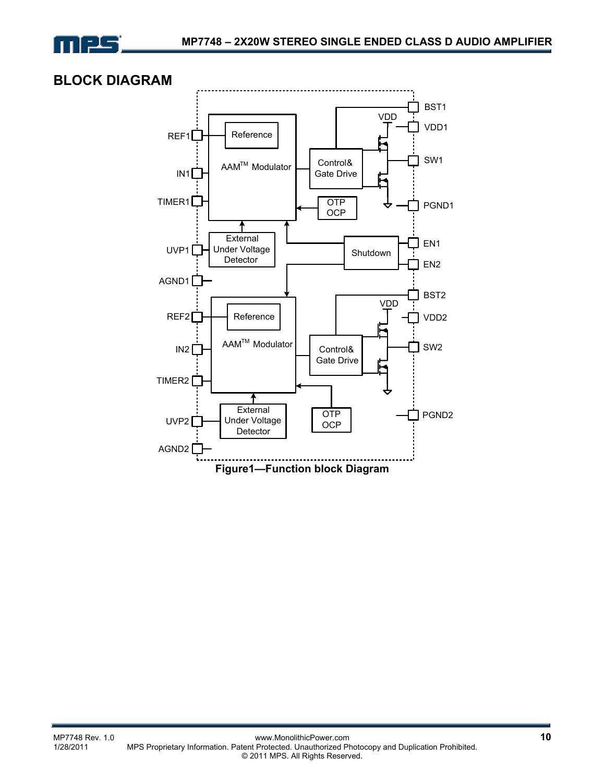

### **BLOCK DIAGRAM**

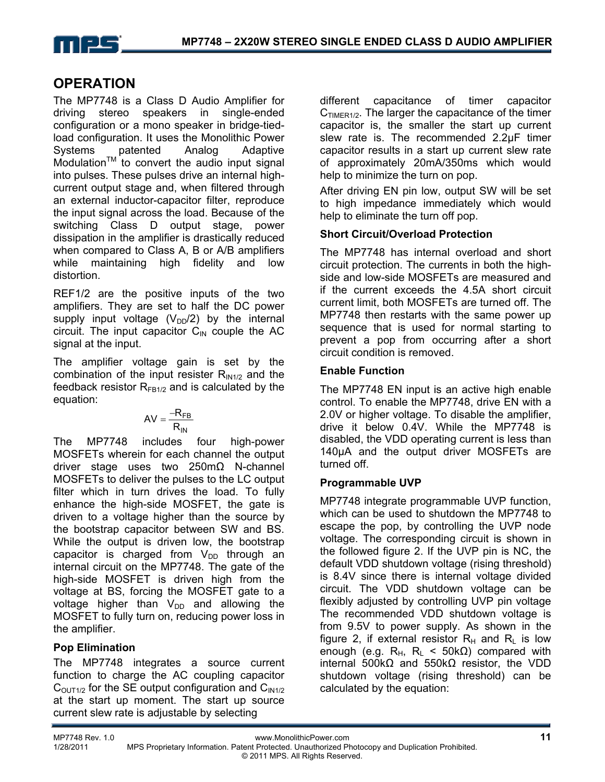

### **OPERATION**

The MP7748 is a Class D Audio Amplifier for driving stereo speakers in single-ended configuration or a mono speaker in bridge-tiedload configuration. It uses the Monolithic Power Systems patented Analog Adaptive Modulation<sup>TM</sup> to convert the audio input signal into pulses. These pulses drive an internal highcurrent output stage and, when filtered through an external inductor-capacitor filter, reproduce the input signal across the load. Because of the switching Class D output stage, power dissipation in the amplifier is drastically reduced when compared to Class A, B or A/B amplifiers while maintaining high fidelity and low distortion.

REF1/2 are the positive inputs of the two amplifiers. They are set to half the DC power supply input voltage  $(V_{DD}/2)$  by the internal circuit. The input capacitor  $C_{\text{IN}}$  couple the AC signal at the input.

The amplifier voltage gain is set by the combination of the input resister  $R_{IN1/2}$  and the feedback resistor  $R_{FBA/2}$  and is calculated by the equation:

$$
AV = \frac{-R_{FB}}{R_{IN}}
$$

The MP7748 includes four high-power MOSFETs wherein for each channel the output driver stage uses two 250mΩ N-channel MOSFETs to deliver the pulses to the LC output filter which in turn drives the load. To fully enhance the high-side MOSFET, the gate is driven to a voltage higher than the source by the bootstrap capacitor between SW and BS. While the output is driven low, the bootstrap capacitor is charged from  $V_{DD}$  through an internal circuit on the MP7748. The gate of the high-side MOSFET is driven high from the voltage at BS, forcing the MOSFET gate to a voltage higher than  $V_{DD}$  and allowing the MOSFET to fully turn on, reducing power loss in the amplifier.

### **Pop Elimination**

The MP7748 integrates a source current function to charge the AC coupling capacitor  $C<sub>OUT1/2</sub>$  for the SE output configuration and  $C<sub>IN1/2</sub>$ at the start up moment. The start up source current slew rate is adjustable by selecting

different capacitance of timer capacitor  $C<sub>TIMER1/2</sub>$ . The larger the capacitance of the timer capacitor is, the smaller the start up current slew rate is. The recommended 2.2µF timer capacitor results in a start up current slew rate of approximately 20mA/350ms which would help to minimize the turn on pop.

After driving EN pin low, output SW will be set to high impedance immediately which would help to eliminate the turn off pop.

### **Short Circuit/Overload Protection**

The MP7748 has internal overload and short circuit protection. The currents in both the highside and low-side MOSFETs are measured and if the current exceeds the 4.5A short circuit current limit, both MOSFETs are turned off. The MP7748 then restarts with the same power up sequence that is used for normal starting to prevent a pop from occurring after a short circuit condition is removed.

#### **Enable Function**

The MP7748 EN input is an active high enable control. To enable the MP7748, drive EN with a 2.0V or higher voltage. To disable the amplifier, drive it below 0.4V. While the MP7748 is disabled, the VDD operating current is less than 140µA and the output driver MOSFETs are turned off.

### **Programmable UVP**

MP7748 integrate programmable UVP function, which can be used to shutdown the MP7748 to escape the pop, by controlling the UVP node voltage. The corresponding circuit is shown in the followed figure 2. If the UVP pin is NC, the default VDD shutdown voltage (rising threshold) is 8.4V since there is internal voltage divided circuit. The VDD shutdown voltage can be flexibly adjusted by controlling UVP pin voltage The recommended VDD shutdown voltage is from 9.5V to power supply. As shown in the figure 2, if external resistor  $R_H$  and  $R_L$  is low enough (e.g. R<sub>H</sub>, R<sub>L</sub> < 50k $\Omega$ ) compared with internal 500kΩ and 550kΩ resistor, the VDD shutdown voltage (rising threshold) can be calculated by the equation: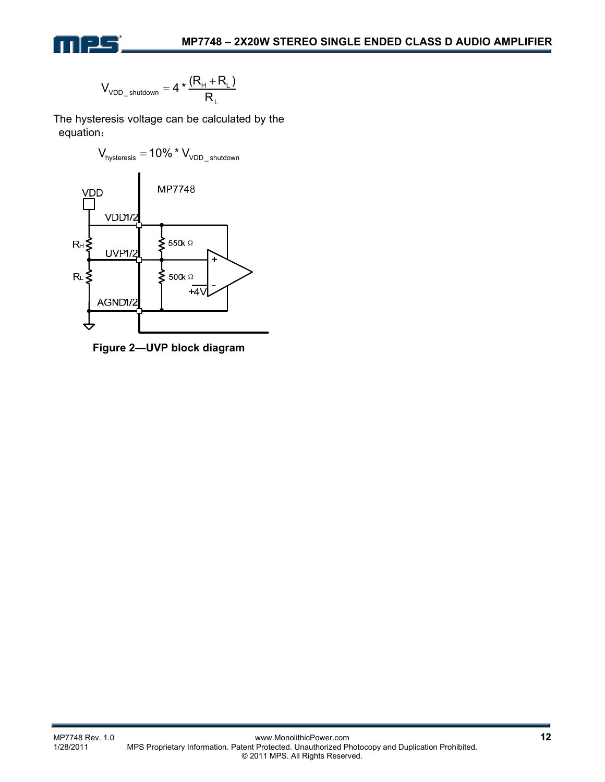

$$
V_{\text{VDD\_shutdown}} = 4 * \frac{(R_{\text{H}} + R_{\text{L}})}{R_{\text{L}}}
$$

The hysteresis voltage can be calculated by the equation:



**Figure 2—UVP block diagram**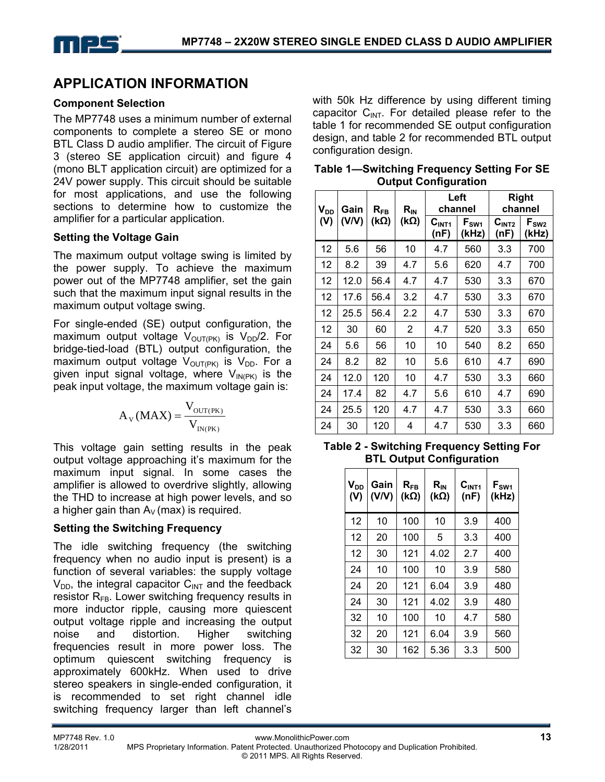# **APPLICATION INFORMATION**

#### **Component Selection**

The MP7748 uses a minimum number of external components to complete a stereo SE or mono BTL Class D audio amplifier. The circuit of Figure 3 (stereo SE application circuit) and figure 4 (mono BLT application circuit) are optimized for a 24V power supply. This circuit should be suitable for most applications, and use the following sections to determine how to customize the amplifier for a particular application.

#### **Setting the Voltage Gain**

The maximum output voltage swing is limited by the power supply. To achieve the maximum power out of the MP7748 amplifier, set the gain such that the maximum input signal results in the maximum output voltage swing.

For single-ended (SE) output configuration, the maximum output voltage  $V_{\text{OUT(PK)}}$  is  $V_{\text{DD}}/2$ . For bridge-tied-load (BTL) output configuration, the maximum output voltage  $V_{\text{OUT(PK)}}$  is  $V_{\text{DD}}$ . For a given input signal voltage, where  $V_{IN(PK)}$  is the peak input voltage, the maximum voltage gain is:

$$
A_V(MAX) = \frac{V_{\text{OUT(PK)}}}{V_{\text{IN(PK)}}}
$$

This voltage gain setting results in the peak output voltage approaching it's maximum for the maximum input signal. In some cases the amplifier is allowed to overdrive slightly, allowing the THD to increase at high power levels, and so a higher gain than  $A_V$  (max) is required.

#### **Setting the Switching Frequency**

The idle switching frequency (the switching frequency when no audio input is present) is a function of several variables: the supply voltage  $V_{DD}$ , the integral capacitor  $C_{INT}$  and the feedback resistor  $R_{FB}$ . Lower switching frequency results in more inductor ripple, causing more quiescent output voltage ripple and increasing the output noise and distortion. Higher switching frequencies result in more power loss. The optimum quiescent switching frequency is approximately 600kHz. When used to drive stereo speakers in single-ended configuration, it is recommended to set right channel idle switching frequency larger than left channel's

with 50k Hz difference by using different timing capacitor  $C_{INT}$ . For detailed please refer to the table 1 for recommended SE output configuration design, and table 2 for recommended BTL output configuration design.

| Gain<br>$V_{DD}$<br>$R_{\tiny{\sf FB}}$ |       | $R_{IN}$ | Left<br>channel |                           | <b>Right</b><br>channel |                           |                    |
|-----------------------------------------|-------|----------|-----------------|---------------------------|-------------------------|---------------------------|--------------------|
| (V)                                     | (V/V) | (kΩ)     | $(k\Omega)$     | C <sub>INT1</sub><br>(nF) | $F_{SW1}$<br>(kHz)      | C <sub>INT2</sub><br>(nF) | $F_{SW2}$<br>(kHz) |
| 12                                      | 5.6   | 56       | 10              | 4.7                       | 560                     | 3.3                       | 700                |
| 12                                      | 8.2   | 39       | 4.7             | 5.6                       | 620                     | 4.7                       | 700                |
| 12                                      | 12.0  | 56.4     | 4.7             | 4.7                       | 530                     | 3.3                       | 670                |
| 12                                      | 17.6  | 56.4     | 3.2             | 4.7                       | 530                     | 3.3                       | 670                |
| 12                                      | 25.5  | 56.4     | $2.2\,$         | 4.7                       | 530                     | 3.3                       | 670                |
| 12                                      | 30    | 60       | 2               | 4.7                       | 520                     | 3.3                       | 650                |
| 24                                      | 5.6   | 56       | 10              | 10                        | 540                     | 8.2                       | 650                |
| 24                                      | 8.2   | 82       | 10              | 5.6                       | 610                     | 4.7                       | 690                |
| 24                                      | 12.0  | 120      | 10              | 4.7                       | 530                     | 3.3                       | 660                |
| 24                                      | 17.4  | 82       | 4.7             | 5.6                       | 610                     | 4.7                       | 690                |
| 24                                      | 25.5  | 120      | 4.7             | 4.7                       | 530                     | 3.3                       | 660                |
| 24                                      | 30    | 120      | 4               | 4.7                       | 530                     | 3.3                       | 660                |

**Table 1—Switching Frequency Setting For SE Output Configuration**

| <b>Table 2 - Switching Frequency Setting For</b> |  |
|--------------------------------------------------|--|
| <b>BTL Output Configuration</b>                  |  |

| V <sub>DD</sub><br>(V) | Gain<br>(V/V) | $R_{FB}$<br>$(k\Omega)$ | $R_{IN}$<br>( $k\Omega$ ) | C <sub>INT1</sub><br>(nF) | F <sub>SW1</sub><br>(kHz) |
|------------------------|---------------|-------------------------|---------------------------|---------------------------|---------------------------|
| 12                     | 10            | 100                     | 10                        | 3.9                       | 400                       |
| 12                     | 20            | 100                     | 5                         | 3.3                       | 400                       |
| 12                     | 30            | 121                     | 4.02                      | 2.7                       | 400                       |
| 24                     | 10            | 100                     | 10                        | 3.9                       | 580                       |
| 24                     | 20            | 121                     | 6.04                      | 3.9                       | 480                       |
| 24                     | 30            | 121                     | 4.02                      | 3.9                       | 480                       |
| 32                     | 10            | 100                     | 10                        | 4.7                       | 580                       |
| 32                     | 20            | 121                     | 6.04                      | 3.9                       | 560                       |
| 32                     | 30            | 162                     | 5.36                      | 3.3                       | 500                       |

MP7748 Rev. 1.0 www.MonolithicPower.com **13** MPS Proprietary Information. Patent Protected. Unauthorized Photocopy and Duplication Prohibited. © 2011 MPS. All Rights Reserved.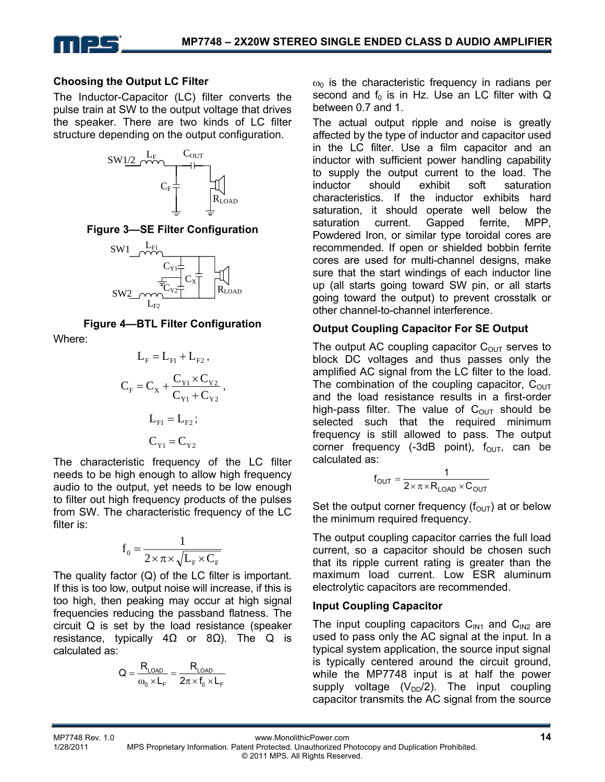

#### **Choosing the Output LC Filter**

The Inductor-Capacitor (LC) filter converts the pulse train at SW to the output voltage that drives the speaker. There are two kinds of LC filter structure depending on the output configuration.



#### **Figure 3—SE Filter Configuration**



**Figure 4—BTL Filter Configuration**  Where:

$$
L_{F} = L_{F1} + L_{F2},
$$
  
\n
$$
C_{F} = C_{X} + \frac{C_{Y1} \times C_{Y2}}{C_{Y1} + C_{Y2}},
$$
  
\n
$$
L_{F1} = L_{F2};
$$
  
\n
$$
C_{Y1} = C_{Y2}
$$

The characteristic frequency of the LC filter needs to be high enough to allow high frequency audio to the output, yet needs to be low enough to filter out high frequency products of the pulses from SW. The characteristic frequency of the LC filter is:

$$
f_0 = \frac{1}{2 \times \pi \times \sqrt{L_F} \times C_F}
$$

The quality factor (Q) of the LC filter is important. If this is too low, output noise will increase, if this is too high, then peaking may occur at high signal frequencies reducing the passband flatness. The circuit Q is set by the load resistance (speaker resistance, typically  $4Ω$  or  $8Ω$ ). The Q is calculated as:

$$
Q = \frac{R_{\text{LOAD}}}{\omega_0 \times L_{\text{F}}} = \frac{R_{\text{LOAD}}}{2\pi \times f_0 \times L_{\text{F}}}
$$

 $\omega_0$  is the characteristic frequency in radians per second and  $f_0$  is in Hz. Use an LC filter with Q between 0.7 and 1.

The actual output ripple and noise is greatly affected by the type of inductor and capacitor used in the LC filter. Use a film capacitor and an inductor with sufficient power handling capability to supply the output current to the load. The inductor should exhibit soft saturation characteristics. If the inductor exhibits hard saturation, it should operate well below the saturation current. Gapped ferrite, MPP, Powdered Iron, or similar type toroidal cores are recommended. If open or shielded bobbin ferrite cores are used for multi-channel designs, make sure that the start windings of each inductor line up (all starts going toward SW pin, or all starts going toward the output) to prevent crosstalk or other channel-to-channel interference.

#### **Output Coupling Capacitor For SE Output**

The output AC coupling capacitor  $C_{OUT}$  serves to block DC voltages and thus passes only the amplified AC signal from the LC filter to the load. The combination of the coupling capacitor,  $C<sub>OUT</sub>$ and the load resistance results in a first-order high-pass filter. The value of  $C_{\text{OUT}}$  should be selected such that the required minimum frequency is still allowed to pass. The output corner frequency (-3dB point),  $f_{\text{OUT}}$ , can be calculated as:

$$
f_{\text{OUT}} = \frac{1}{2 \times \pi \times R_{\text{LOAD}} \times C_{\text{OUT}}}
$$

Set the output corner frequency  $(f_{\text{OUT}})$  at or below the minimum required frequency.

The output coupling capacitor carries the full load current, so a capacitor should be chosen such that its ripple current rating is greater than the maximum load current. Low ESR aluminum electrolytic capacitors are recommended.

#### **Input Coupling Capacitor**

The input coupling capacitors  $C_{1N1}$  and  $C_{1N2}$  are used to pass only the AC signal at the input. In a typical system application, the source input signal is typically centered around the circuit ground, while the MP7748 input is at half the power supply voltage  $(V_{DD}/2)$ . The input coupling capacitor transmits the AC signal from the source

MP7748 Rev. 1.0 www.MonolithicPower.com **14**<br>1/28/2011 MPS Proprietary Information Patent Protected Unauthorized Photocopy and Duplication Prohibited

MPS Proprietary Information. Patent Protected. Unauthorized Photocopy and Duplication Prohibited. © 2011 MPS. All Rights Reserved.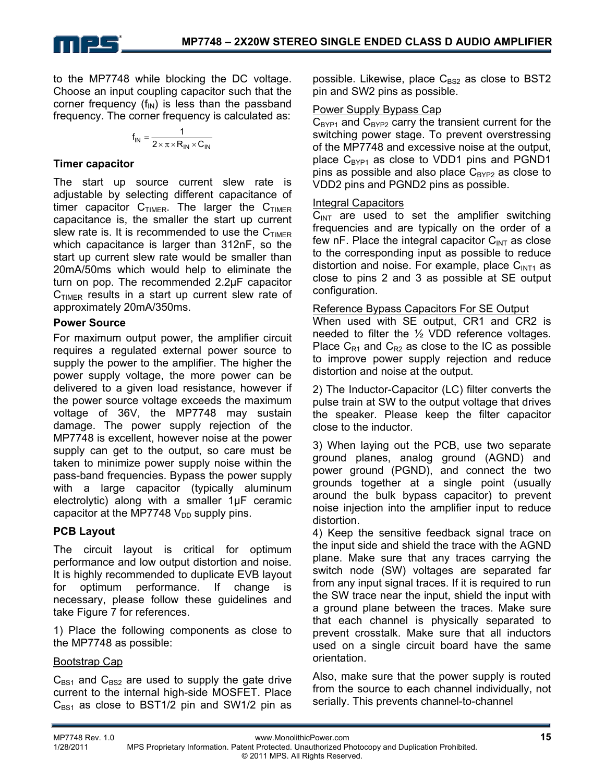to the MP7748 while blocking the DC voltage. Choose an input coupling capacitor such that the corner frequency  $(f_{IN})$  is less than the passband frequency. The corner frequency is calculated as:

$$
f_{IN} = \frac{1}{2 \times \pi \times R_{IN} \times C_{IN}}
$$

#### **Timer capacitor**

The start up source current slew rate is adjustable by selecting different capacitance of timer capacitor  $C_{TIMER}$ . The larger the  $C_{TIMER}$ capacitance is, the smaller the start up current slew rate is. It is recommended to use the  $C_{TIMER}$ which capacitance is larger than 312nF, so the start up current slew rate would be smaller than 20mA/50ms which would help to eliminate the turn on pop. The recommended 2.2µF capacitor  $C_{\text{TIMER}}$  results in a start up current slew rate of approximately 20mA/350ms.

#### **Power Source**

For maximum output power, the amplifier circuit requires a regulated external power source to supply the power to the amplifier. The higher the power supply voltage, the more power can be delivered to a given load resistance, however if the power source voltage exceeds the maximum voltage of 36V, the MP7748 may sustain damage. The power supply rejection of the MP7748 is excellent, however noise at the power supply can get to the output, so care must be taken to minimize power supply noise within the pass-band frequencies. Bypass the power supply with a large capacitor (typically aluminum electrolytic) along with a smaller 1µF ceramic capacitor at the MP7748  $V_{DD}$  supply pins.

#### **PCB Layout**

The circuit layout is critical for optimum performance and low output distortion and noise. It is highly recommended to duplicate EVB layout for optimum performance. If change is necessary, please follow these guidelines and take Figure 7 for references.

1) Place the following components as close to the MP7748 as possible:

#### Bootstrap Cap

 $C_{BS1}$  and  $C_{BS2}$  are used to supply the gate drive current to the internal high-side MOSFET. Place  $C_{BS1}$  as close to BST1/2 pin and SW1/2 pin as possible. Likewise, place  $C_{BS2}$  as close to BST2 pin and SW2 pins as possible.

#### Power Supply Bypass Cap

 $C_{\text{BYP1}}$  and  $C_{\text{BYP2}}$  carry the transient current for the switching power stage. To prevent overstressing of the MP7748 and excessive noise at the output, place  $C_{BYP1}$  as close to VDD1 pins and PGND1 pins as possible and also place  $C_{BYP2}$  as close to VDD2 pins and PGND2 pins as possible.

#### Integral Capacitors

 $C<sub>INT</sub>$  are used to set the amplifier switching frequencies and are typically on the order of a few nF. Place the integral capacitor  $C_{INT}$  as close to the corresponding input as possible to reduce distortion and noise. For example, place  $C<sub>INT1</sub>$  as close to pins 2 and 3 as possible at SE output configuration.

#### Reference Bypass Capacitors For SE Output

When used with SE output, CR1 and CR2 is needed to filter the ½ VDD reference voltages. Place  $C_{R1}$  and  $C_{R2}$  as close to the IC as possible to improve power supply rejection and reduce distortion and noise at the output.

2) The Inductor-Capacitor (LC) filter converts the pulse train at SW to the output voltage that drives the speaker. Please keep the filter capacitor close to the inductor.

3) When laying out the PCB, use two separate ground planes, analog ground (AGND) and power ground (PGND), and connect the two grounds together at a single point (usually around the bulk bypass capacitor) to prevent noise injection into the amplifier input to reduce distortion.

4) Keep the sensitive feedback signal trace on the input side and shield the trace with the AGND plane. Make sure that any traces carrying the switch node (SW) voltages are separated far from any input signal traces. If it is required to run the SW trace near the input, shield the input with a ground plane between the traces. Make sure that each channel is physically separated to prevent crosstalk. Make sure that all inductors used on a single circuit board have the same orientation.

Also, make sure that the power supply is routed from the source to each channel individually, not serially. This prevents channel-to-channel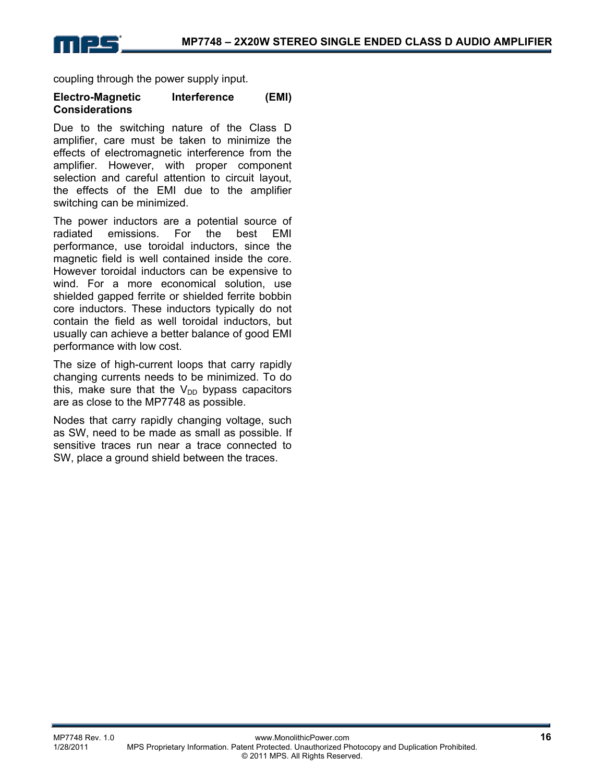coupling through the power supply input.

#### **Electro-Magnetic Interference (EMI) Considerations**

Due to the switching nature of the Class D amplifier, care must be taken to minimize the effects of electromagnetic interference from the amplifier. However, with proper component selection and careful attention to circuit layout, the effects of the EMI due to the amplifier switching can be minimized.

The power inductors are a potential source of radiated emissions. For the best EMI performance, use toroidal inductors, since the magnetic field is well contained inside the core. However toroidal inductors can be expensive to wind. For a more economical solution, use shielded gapped ferrite or shielded ferrite bobbin core inductors. These inductors typically do not contain the field as well toroidal inductors, but usually can achieve a better balance of good EMI performance with low cost.

The size of high-current loops that carry rapidly changing currents needs to be minimized. To do this, make sure that the  $V_{DD}$  bypass capacitors are as close to the MP7748 as possible.

Nodes that carry rapidly changing voltage, such as SW, need to be made as small as possible. If sensitive traces run near a trace connected to SW, place a ground shield between the traces.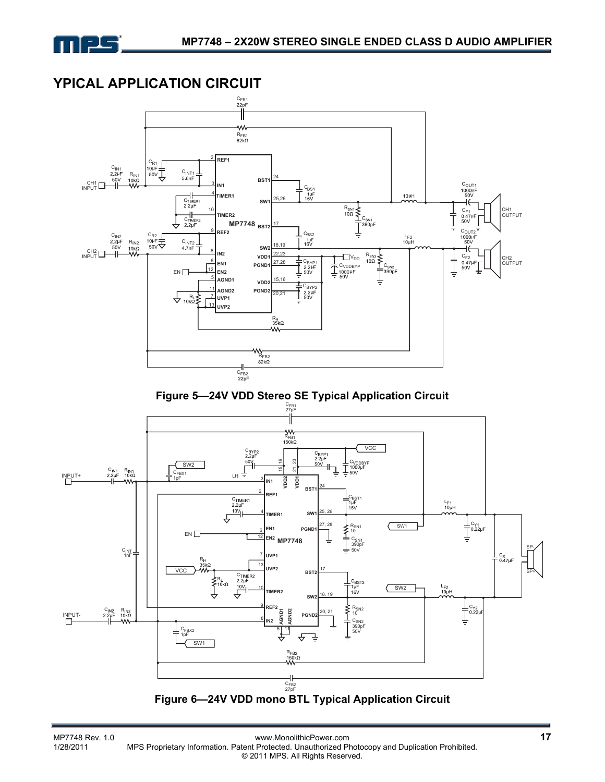

### **YPICAL APPLICATION CIRCUIT**

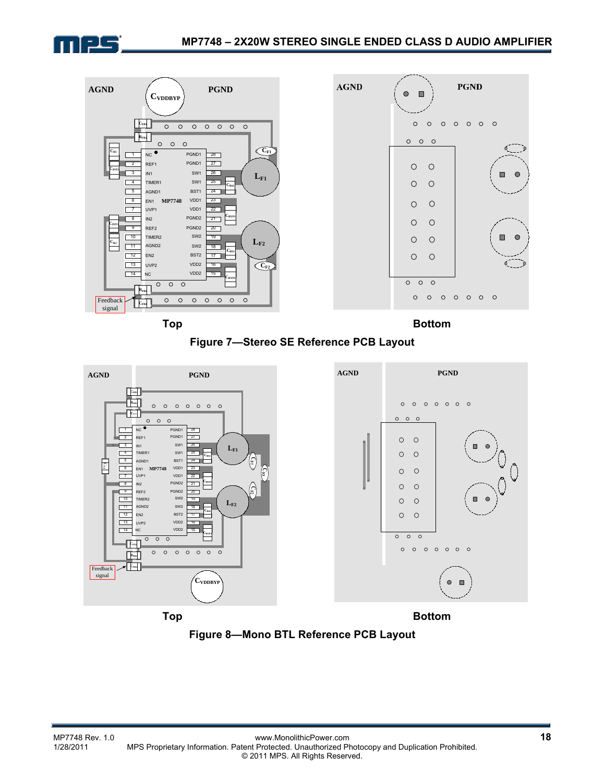





**Top Bottom Bottom** 





**Figure 8—Mono BTL Reference PCB Layout**